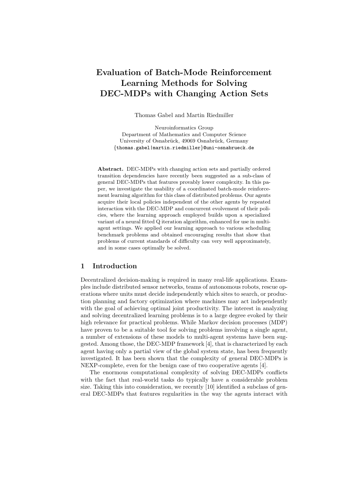# Evaluation of Batch-Mode Reinforcement Learning Methods for Solving DEC-MDPs with Changing Action Sets

Thomas Gabel and Martin Riedmiller

Neuroinformatics Group Department of Mathematics and Computer Science University of Osnabrück, 49069 Osnabrück, Germany {thomas.gabel|martin.riedmiller}@uni-osnabrueck.de

Abstract. DEC-MDPs with changing action sets and partially ordered transition dependencies have recently been suggested as a sub-class of general DEC-MDPs that features provably lower complexity. In this paper, we investigate the usability of a coordinated batch-mode reinforcement learning algorithm for this class of distributed problems. Our agents acquire their local policies independent of the other agents by repeated interaction with the DEC-MDP and concurrent evolvement of their policies, where the learning approach employed builds upon a specialized variant of a neural fitted Q iteration algorithm, enhanced for use in multiagent settings. We applied our learning approach to various scheduling benchmark problems and obtained encouraging results that show that problems of current standards of difficulty can very well approximately, and in some cases optimally be solved.

# 1 Introduction

Decentralized decision-making is required in many real-life applications. Examples include distributed sensor networks, teams of autonomous robots, rescue operations where units must decide independently which sites to search, or production planning and factory optimization where machines may act independently with the goal of achieving optimal joint productivity. The interest in analyzing and solving decentralized learning problems is to a large degree evoked by their high relevance for practical problems. While Markov decision processes (MDP) have proven to be a suitable tool for solving problems involving a single agent, a number of extensions of these models to multi-agent systems have been suggested. Among those, the DEC-MDP framework [4], that is characterized by each agent having only a partial view of the global system state, has been frequently investigated. It has been shown that the complexity of general DEC-MDPs is NEXP-complete, even for the benign case of two cooperative agents [4].

The enormous computational complexity of solving DEC-MDPs conflicts with the fact that real-world tasks do typically have a considerable problem size. Taking this into consideration, we recently [10] identified a subclass of general DEC-MDPs that features regularities in the way the agents interact with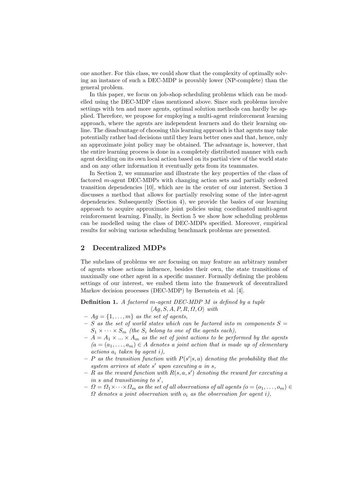one another. For this class, we could show that the complexity of optimally solving an instance of such a DEC-MDP is provably lower (NP-complete) than the general problem.

In this paper, we focus on job-shop scheduling problems which can be modelled using the DEC-MDP class mentioned above. Since such problems involve settings with ten and more agents, optimal solution methods can hardly be applied. Therefore, we propose for employing a multi-agent reinforcement learning approach, where the agents are independent learners and do their learning online. The disadvantage of choosing this learning approach is that agents may take potentially rather bad decisions until they learn better ones and that, hence, only an approximate joint policy may be obtained. The advantage is, however, that the entire learning process is done in a completely distributed manner with each agent deciding on its own local action based on its partial view of the world state and on any other information it eventually gets from its teammates.

In Section 2, we summarize and illustrate the key properties of the class of factored m-agent DEC-MDPs with changing action sets and partially ordered transition dependencies [10], which are in the center of our interest. Section 3 discusses a method that allows for partially resolving some of the inter-agent dependencies. Subsequently (Section 4), we provide the basics of our learning approach to acquire approximate joint policies using coordinated multi-agent reinforcement learning. Finally, in Section 5 we show how scheduling problems can be modelled using the class of DEC-MDPs specified. Moreover, empirical results for solving various scheduling benchmark problems are presented.

## 2 Decentralized MDPs

The subclass of problems we are focusing on may feature an arbitrary number of agents whose actions influence, besides their own, the state transitions of maximally one other agent in a specific manner. Formally defining the problem settings of our interest, we embed them into the framework of decentralized Markov decision processes (DEC-MDP) by Bernstein et al. [4].

Definition 1. A factored m-agent DEC-MDP M is defined by a tuple  $\langle Ag, S, A, P, R, \Omega, O \rangle$  with

- $Ag = \{1, \ldots, m\}$  as the set of agents,
- $S$  as the set of world states which can be factored into m components  $S =$  $S_1 \times \cdots \times S_m$  (the  $S_i$  belong to one of the agents each),
- $A = A_1 \times ... \times A_m$  as the set of joint actions to be performed by the agents  $(a = (a_1, \ldots, a_m) \in A$  denotes a joint action that is made up of elementary  $actions \ a_i \ taken \ by \ agent \ i).$
- $P$  as the transition function with  $P(s'|s, a)$  denoting the probability that the system arrives at state s' upon executing a in s,
- $-$  R as the reward function with  $R(s, a, s')$  denoting the reward for executing a in  $s$  and transitioning to  $s'$ ,
- $\Omega = \Omega_1 \times \cdots \times \Omega_m$  as the set of all observations of all agents  $(o = (o_1, \ldots, o_m) \in$  $\Omega$  denotes a joint observation with  $o_i$  as the observation for agent i),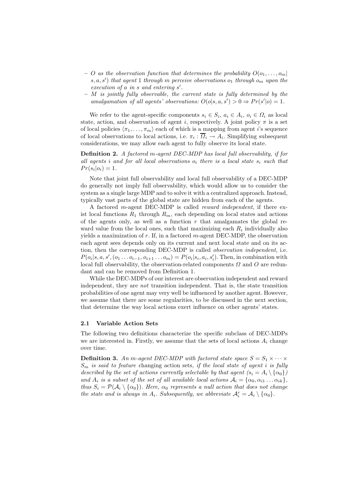- $-$  O as the observation function that determines the probability  $O(o_1, \ldots, o_m)$  $(s, a, s')$  that agent 1 through m perceive observations  $o_1$  through  $o_m$  upon the execution of a in s and entering s'.
- $-$  M is jointly fully observable, the current state is fully determined by the amalgamation of all agents' observations:  $O(o|s, a, s') > 0 \Rightarrow Pr(s'|o) = 1$ .

We refer to the agent-specific components  $s_i \in S_i$ ,  $a_i \in A_i$ ,  $o_i \in \Omega_i$  as local state, action, and observation of agent i, respectively. A joint policy  $\pi$  is a set of local policies  $\langle \pi_1, \ldots, \pi_m \rangle$  each of which is a mapping from agent i's sequence of local observations to local actions, i.e.  $\pi_i$ :  $\Omega_i \to A_i$ . Simplifying subsequent considerations, we may allow each agent to fully observe its local state.

Definition 2. A factored m-agent DEC-MDP has local full observability, if for all agents i and for all local observations  $o_i$  there is a local state  $s_i$  such that  $Pr(s_i|o_i)=1.$ 

Note that joint full observability and local full observability of a DEC-MDP do generally not imply full observability, which would allow us to consider the system as a single large MDP and to solve it with a centralized approach. Instead, typically vast parts of the global state are hidden from each of the agents.

A factored m-agent DEC-MDP is called reward independent, if there exist local functions  $R_1$  through  $R_m$ , each depending on local states and actions of the agents only, as well as a function  $r$  that amalgamates the global reward value from the local ones, such that maximizing each  $R_i$  individually also yields a maximization of r. If, in a factored m-agent DEC-MDP, the observation each agent sees depends only on its current and next local state and on its action, then the corresponding DEC-MDP is called observation independent, i.e.  $P(o_i|s, a, s', (o_1 \ldots o_{i-1}, o_{i+1} \ldots o_m) = P(o_i|s_i, a_i, s'_i)$ . Then, in combination with local full observability, the observation-related components  $\Omega$  and  $O$  are redundant and can be removed from Definition 1.

While the DEC-MDPs of our interest are observation independent and reward independent, they are not transition independent. That is, the state transition probabilities of one agent may very well be influenced by another agent. However, we assume that there are some regularities, to be discussed in the next section, that determine the way local actions exert influence on other agents' states.

#### 2.1 Variable Action Sets

The following two definitions characterize the specific subclass of DEC-MDPs we are interested in. Firstly, we assume that the sets of local actions  $A_i$  change over time.

**Definition 3.** An m-agent DEC-MDP with factored state space  $S = S_1 \times \cdots \times$  $S_m$  is said to feature changing action sets, if the local state of agent i is fully described by the set of actions currently selectable by that agent  $(s_i = A_i \setminus \{\alpha_0\})$ and  $A_i$  is a subset of the set of all available local actions  $A_i = {\alpha_0, \alpha_{i1} \dots \alpha_{ik}}$ , thus  $S_i = \mathcal{P}(\mathcal{A}_i \setminus \{\alpha_0\})$ . Here,  $\alpha_0$  represents a null action that does not change the state and is always in  $A_i$ . Subsequently, we abbreviate  $A_i^r = A_i \setminus \{\alpha_0\}$ .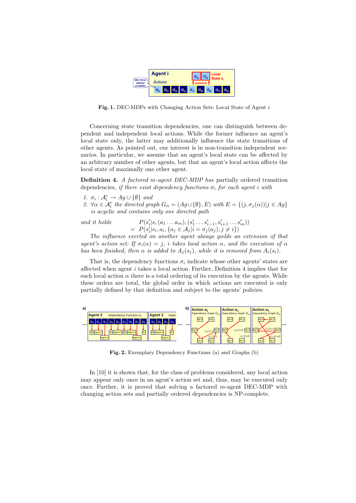

Fig. 1. DEC-MDPs with Changing Action Sets: Local State of Agent i

Concerning state transition dependencies, one can distinguish between dependent and independent local actions. While the former influence an agent's local state only, the latter may additionally influence the state transitions of other agents. As pointed out, our interest is in non-transition independent scenarios. In particular, we assume that an agent's local state can be affected by an arbitrary number of other agents, but that an agent's local action affects the local state of maximally one other agent.

Definition 4. A factored m-agent DEC-MDP has partially ordered transition dependencies, if there exist dependency functions  $\sigma_i$  for each agent i with

- 1.  $\sigma_i : \mathcal{A}_i^r \to Ag \cup \{\emptyset\}$  and
- 2.  $\forall \alpha \in \mathcal{A}_i^r$  the directed graph  $G_{\alpha} = (Ag \cup \{\emptyset\}, E)$  with  $E = \{(j, \sigma_j(\alpha)) | j \in Ag\}$ is acyclic and contains only one directed path

and it holds  $P(s'_i|s, (a_1 \ldots a_m), (s'_1 \ldots s'_{i-1}, s'_{i+1} \ldots s'_m))$  $= P(s'_i | s_i, a_i, \{a_j \in A_j | i = \sigma_j(a_j), j \neq i\})$ 

The influence exerted on another agent always yields an extension of that agent's action set: If  $\sigma_i(\alpha) = j$ , i takes local action  $\alpha$ , and the execution of  $\alpha$ has been finished, then  $\alpha$  is added to  $A_i(s_i)$ , while it is removed from  $A_i(s_i)$ .

That is, the dependency functions  $\sigma_i$  indicate whose other agents' states are affected when agent  $i$  takes a local action. Further, Definition 4 implies that for each local action  $\alpha$  there is a total ordering of its execution by the agents. While these orders are total, the global order in which actions are executed is only partially defined by that definition and subject to the agents' policies.



Fig. 2. Exemplary Dependency Functions (a) and Graphs (b)

In [10] it is shown that, for the class of problems considered, any local action may appear only once in an agent's action set and, thus, may be executed only once. Further, it is proved that solving a factored m-agent DEC-MDP with changing action sets and partially ordered dependencies is NP-complete.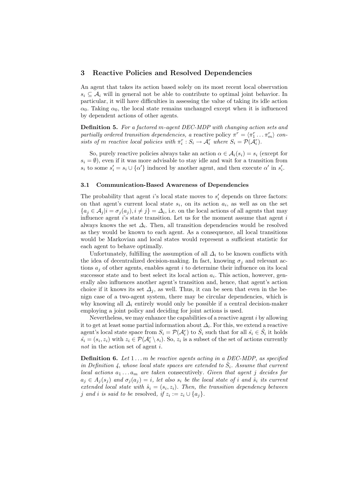## 3 Reactive Policies and Resolved Dependencies

An agent that takes its action based solely on its most recent local observation  $s_i \n\subset \mathcal{A}_i$  will in general not be able to contribute to optimal joint behavior. In particular, it will have difficulties in assessing the value of taking its idle action  $\alpha_0$ . Taking  $\alpha_0$ , the local state remains unchanged except when it is influenced by dependent actions of other agents.

Definition 5. For a factored m-agent DEC-MDP with changing action sets and partially ordered transition dependencies, a reactive policy  $\pi^r = \langle \pi_1^r \dots \pi_m^r \rangle$  consists of m reactive local policies with  $\pi_i^r : S_i \to \mathcal{A}_i^r$  where  $S_i = \mathcal{P}(\mathcal{A}_i^r)$ .

So, purely reactive policies always take an action  $\alpha \in \mathcal{A}_i(s_i) = s_i$  (except for  $s_i = \emptyset$ , even if it was more advisable to stay idle and wait for a transition from  $s_i$  to some  $s'_i = s_i \cup {\alpha'}$  induced by another agent, and then execute  $\alpha'$  in  $s'_i$ .

#### 3.1 Communication-Based Awareness of Dependencies

The probability that agent  $i$ 's local state moves to  $s'_{i}$  depends on three factors: on that agent's current local state  $s_i$ , on its action  $a_i$ , as well as on the set  ${a_j \in \mathcal{A}_j \vert i = \sigma_j(a_j), i \neq j} = \Delta_i$ , i.e. on the local actions of all agents that may influence agent  $i$ 's state transition. Let us for the moment assume that agent  $i$ always knows the set  $\Delta_i$ . Then, all transition dependencies would be resolved as they would be known to each agent. As a consequence, all local transitions would be Markovian and local states would represent a sufficient statistic for each agent to behave optimally.

Unfortunately, fulfilling the assumption of all  $\Delta_i$  to be known conflicts with the idea of decentralized decision-making. In fact, knowing  $\sigma_i$  and relevant actions  $a_i$  of other agents, enables agent i to determine their influence on its local successor state and to best select its local action  $a_i$ . This action, however, generally also influences another agent's transition and, hence, that agent's action choice if it knows its set  $\Delta_i$ , as well. Thus, it can be seen that even in the benign case of a two-agent system, there may be circular dependencies, which is why knowing all  $\Delta_i$  entirely would only be possible if a central decision-maker employing a joint policy and deciding for joint actions is used.

Nevertheless, we may enhance the capabilities of a reactive agent i by allowing it to get at least some partial information about  $\Delta_i$ . For this, we extend a reactive agent's local state space from  $S_i = \mathcal{P}(\mathcal{A}_i^r)$  to  $\hat{S}_i$  such that for all  $\hat{s}_i \in \hat{S}_i$  it holds  $\hat{s_i} = (s_i, z_i)$  with  $z_i \in \mathcal{P}(\mathcal{A}_i^r \setminus s_i)$ . So,  $z_i$  is a subset of the set of actions currently not in the action set of agent i.

**Definition 6.** Let  $1 \ldots m$  be reactive agents acting in a DEC-MDP, as specified in Definition 4, whose local state spaces are extended to  $\hat{S}_i$ . Assume that current local actions  $a_1 \ldots a_m$  are taken consecutively. Given that agent j decides for  $a_j \in A_j(s_j)$  and  $\sigma_j(a_j) = i$ , let also  $s_i$  be the local state of i and  $\hat{s}_i$  its current extended local state with  $\hat{s}_i = (s_i, z_i)$ . Then, the transition dependency between j and i is said to be resolved, if  $z_i := z_i \cup \{a_j\}.$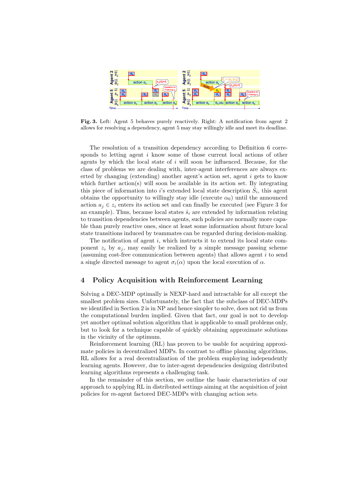

Fig. 3. Left: Agent 5 behaves purely reactively. Right: A notification from agent 2 allows for resolving a dependency, agent 5 may stay willingly idle and meet its deadline.

The resolution of a transition dependency according to Definition 6 corresponds to letting agent i know some of those current local actions of other agents by which the local state of  $i$  will soon be influenced. Because, for the class of problems we are dealing with, inter-agent interferences are always exerted by changing (extending) another agent's action set, agent i gets to know which further action(s) will soon be available in its action set. By integrating this piece of information into *i*'s extended local state description  $\hat{S}_i$ , this agent obtains the opportunity to willingly stay idle (execute  $\alpha_0$ ) until the announced action  $a_i \in z_i$  enters its action set and can finally be executed (see Figure 3 for an example). Thus, because local states  $\hat{s}_i$  are extended by information relating to transition dependencies between agents, such policies are normally more capable than purely reactive ones, since at least some information about future local state transitions induced by teammates can be regarded during decision-making.

The notification of agent  $i$ , which instructs it to extend its local state component  $z_i$  by  $a_j$ , may easily be realized by a simple message passing scheme (assuming cost-free communication between agents) that allows agent  $i$  to send a single directed message to agent  $\sigma_i(\alpha)$  upon the local execution of  $\alpha$ .

# 4 Policy Acquisition with Reinforcement Learning

Solving a DEC-MDP optimally is NEXP-hard and intractable for all except the smallest problem sizes. Unfortunately, the fact that the subclass of DEC-MDPs we identified in Section 2 is in NP and hence simpler to solve, does not rid us from the computational burden implied. Given that fact, our goal is not to develop yet another optimal solution algorithm that is applicable to small problems only, but to look for a technique capable of quickly obtaining approximate solutions in the vicinity of the optimum.

Reinforcement learning (RL) has proven to be usable for acquiring approximate policies in decentralized MDPs. In contrast to offline planning algorithms, RL allows for a real decentralization of the problem employing independently learning agents. However, due to inter-agent dependencies designing distributed learning algorithms represents a challenging task.

In the remainder of this section, we outline the basic characteristics of our approach to applying RL in distributed settings aiming at the acquisition of joint policies for m-agent factored DEC-MDPs with changing action sets.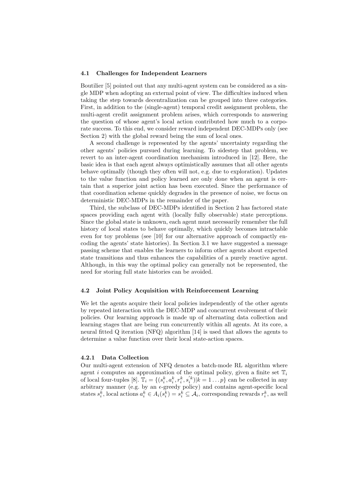#### 4.1 Challenges for Independent Learners

Boutilier [5] pointed out that any multi-agent system can be considered as a single MDP when adopting an external point of view. The difficulties induced when taking the step towards decentralization can be grouped into three categories. First, in addition to the (single-agent) temporal credit assignment problem, the multi-agent credit assignment problem arises, which corresponds to answering the question of whose agent's local action contributed how much to a corporate success. To this end, we consider reward independent DEC-MDPs only (see Section 2) with the global reward being the sum of local ones.

A second challenge is represented by the agents' uncertainty regarding the other agents' policies pursued during learning. To sidestep that problem, we revert to an inter-agent coordination mechanism introduced in [12]. Here, the basic idea is that each agent always optimistically assumes that all other agents behave optimally (though they often will not, e.g. due to exploration). Updates to the value function and policy learned are only done when an agent is certain that a superior joint action has been executed. Since the performance of that coordination scheme quickly degrades in the presence of noise, we focus on deterministic DEC-MDPs in the remainder of the paper.

Third, the subclass of DEC-MDPs identified in Section 2 has factored state spaces providing each agent with (locally fully observable) state perceptions. Since the global state is unknown, each agent must necessarily remember the full history of local states to behave optimally, which quickly becomes intractable even for toy problems (see [10] for our alternative approach of compactly encoding the agents' state histories). In Section 3.1 we have suggested a message passing scheme that enables the learners to inform other agents about expected state transitions and thus enhances the capabilities of a purely reactive agent. Although, in this way the optimal policy can generally not be represented, the need for storing full state histories can be avoided.

#### 4.2 Joint Policy Acquisition with Reinforcement Learning

We let the agents acquire their local policies independently of the other agents by repeated interaction with the DEC-MDP and concurrent evolvement of their policies. Our learning approach is made up of alternating data collection and learning stages that are being run concurrently within all agents. At its core, a neural fitted Q iteration (NFQ) algorithm [14] is used that allows the agents to determine a value function over their local state-action spaces.

#### 4.2.1 Data Collection

Our multi-agent extension of NFQ denotes a batch-mode RL algorithm where agent i computes an approximation of the optimal policy, given a finite set  $\mathbb{T}_i$ of local four-tuples [8].  $\mathbb{T}_i = \{(s_i^k, a_i^k, r_i^k, s_i'^k) | k = 1 \dots p\}$  can be collected in any arbitrary manner (e.g. by an  $\epsilon$ -greedy policy) and contains agent-specific local states  $s_i^k$ , local actions  $a_i^k \in A_i(s_i^k) = s_i^k \subseteq A_i$ , corresponding rewards  $r_i^k$ , as well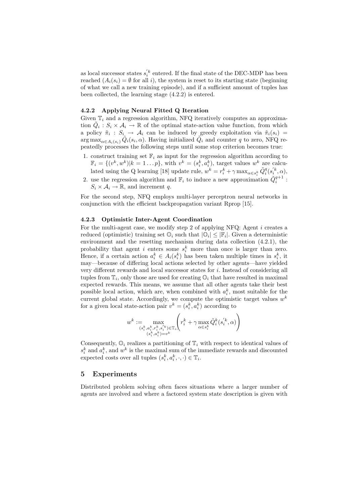as local successor states  $s_i^{'k}$  entered. If the final state of the DEC-MDP has been reached  $(A_i(s_i) = \emptyset$  for all i), the system is reset to its starting state (beginning of what we call a new training episode), and if a sufficient amount of tuples has been collected, the learning stage (4.2.2) is entered.

## 4.2.2 Applying Neural Fitted Q Iteration

Given  $\mathbb{T}_i$  and a regression algorithm, NFQ iteratively computes an approximation  $\tilde{Q}_i : S_i \times A_i \to \mathbb{R}$  of the optimal state-action value function, from which a policy  $\tilde{\pi}_i$ :  $S_i \to A_i$  can be induced by greedy exploitation via  $\tilde{\pi}_i(s_i)$  =  $\arg \max_{\alpha \in A_i(s_i)} \tilde{Q}_i(s_i, \alpha)$ . Having initialized  $\tilde{Q}_i$  and counter q to zero, NFQ repeatedly processes the following steps until some stop criterion becomes true:

- 1. construct training set  $\mathbb{F}_i$  as input for the regression algorithm according to  $\mathbb{F}_i = \{(v^k, w^k)|k = 1 \dots p\}$ , with  $v^k = (s_i^k, a_i^k)$ , target values  $w^k$  are calculated using the Q learning [18] update rule,  $w^k = r_i^k + \gamma \max_{\alpha \in s_i^k} \tilde{Q}_i^q(s_i^{'k}, \alpha)$ ,
- 2. use the regression algorithm and  $\mathbb{F}_i$  to induce a new approximation  $\tilde{Q}_i^{q+1}$ :  $S_i \times \mathcal{A}_i \rightarrow \mathbb{R}$ , and increment q.

For the second step, NFQ employs multi-layer perceptron neural networks in conjunction with the efficient backpropagation variant Rprop [15].

#### 4.2.3 Optimistic Inter-Agent Coordination

For the multi-agent case, we modify step 2 of applying NFQ: Agent  $i$  creates a reduced (optimistic) training set  $\mathbb{O}_i$  such that  $|\mathbb{O}_i| \leq |\mathbb{F}_i|$ . Given a deterministic environment and the resetting mechanism during data collection (4.2.1), the probability that agent i enters some  $s_i^k$  more than once is larger than zero. Hence, if a certain action  $a_i^k \in A_i(s_i^k)$  has been taken multiple times in  $s_i^k$ , it may—because of differing local actions selected by other agents—have yielded very different rewards and local successor states for i. Instead of considering all tuples from  $\mathbb{T}_i$ , only those are used for creating  $\mathbb{O}_i$  that have resulted in maximal expected rewards. This means, we assume that all other agents take their best possible local action, which are, when combined with  $a_i^k$ , most suitable for the current global state. Accordingly, we compute the optimistic target values  $w^k$ for a given local state-action pair  $v^k = (s_i^k, a_i^k)$  according to

$$
w^k := \max_{\substack{(s_i^k, a_i^k, r_i^k, s_i^k) \in \mathbb{T}_i,\\(s_i^k, a_i^k) = v^k}} \left(r_i^k + \gamma \max_{\alpha \in s_i^k} \tilde{Q}_i^k(s_i^{'k}, \alpha)\right)
$$

Consequently,  $\mathbb{O}_i$  realizes a partitioning of  $\mathbb{T}_i$  with respect to identical values of  $s_i^k$  and  $a_i^k$ , and  $w^k$  is the maximal sum of the immediate rewards and discounted expected costs over all tuples  $(s_i^k, a_i^k, \cdot, \cdot) \in \mathbb{T}_i$ .

# 5 Experiments

Distributed problem solving often faces situations where a larger number of agents are involved and where a factored system state description is given with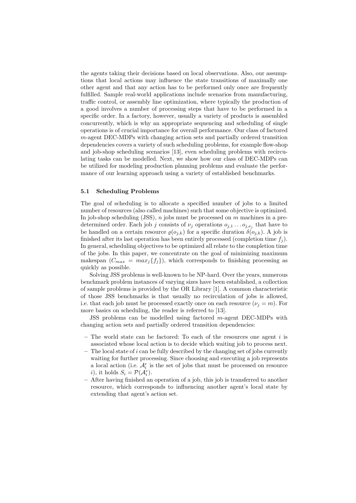the agents taking their decisions based on local observations. Also, our assumptions that local actions may influence the state transitions of maximally one other agent and that any action has to be performed only once are frequently fulfilled. Sample real-world applications include scenarios from manufacturing, traffic control, or assembly line optimization, where typically the production of a good involves a number of processing steps that have to be performed in a specific order. In a factory, however, usually a variety of products is assembled concurrently, which is why an appropriate sequencing and scheduling of single operations is of crucial importance for overall performance. Our class of factored  $m$ -agent DEC-MDPs with changing action sets and partially ordered transition dependencies covers a variety of such scheduling problems, for example flow-shop and job-shop scheduling scenarios [13], even scheduling problems with recirculating tasks can be modelled. Next, we show how our class of DEC-MDPs can be utilized for modeling production planning problems and evaluate the performance of our learning approach using a variety of established benchmarks.

## 5.1 Scheduling Problems

The goal of scheduling is to allocate a specified number of jobs to a limited number of resources (also called machines) such that some objective is optimized. In job-shop scheduling  $(JSS)$ , n jobs must be processed on m machines in a predetermined order. Each job j consists of  $\nu_j$  operations  $o_{j,1} \ldots o_{j,\nu_j}$  that have to be handled on a certain resource  $\varrho(o_{j,k})$  for a specific duration  $\delta(o_{j,k})$ . A job is finished after its last operation has been entirely processed (completion time  $f_i$ ). In general, scheduling objectives to be optimized all relate to the completion time of the jobs. In this paper, we concentrate on the goal of minimizing maximum makespan  $(C_{max} = max_i\{f_i\})$ , which corresponds to finishing processing as quickly as possible.

Solving JSS problems is well-known to be NP-hard. Over the years, numerous benchmark problem instances of varying sizes have been established, a collection of sample problems is provided by the OR Library [1]. A common characteristic of those JSS benchmarks is that usually no recirculation of jobs is allowed, i.e. that each job must be processed exactly once on each resource  $(\nu_j = m)$ . For more basics on scheduling, the reader is referred to [13].

JSS problems can be modelled using factored  $m$ -agent DEC-MDPs with changing action sets and partially ordered transition dependencies:

- The world state can be factored: To each of the resources one agent  $i$  is associated whose local action is to decide which waiting job to process next.
- The local state of  $i$  can be fully described by the changing set of jobs currently waiting for further processing. Since choosing and executing a job represents a local action (i.e.  $\mathcal{A}_i^r$  is the set of jobs that must be processed on resource *i*), it holds  $S_i = \mathcal{P}(\mathcal{A}_i^r)$ .
- After having finished an operation of a job, this job is transferred to another resource, which corresponds to influencing another agent's local state by extending that agent's action set.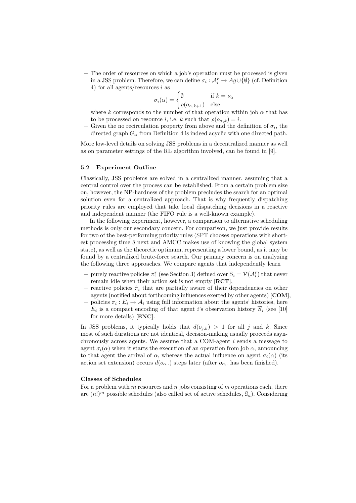– The order of resources on which a job's operation must be processed is given in a JSS problem. Therefore, we can define  $\sigma_i: \mathcal{A}_i^r \to Ag \cup \{\emptyset\}$  (cf. Definition 4) for all agents/resources i as

$$
\sigma_i(\alpha) = \begin{cases} \emptyset & \text{if } k = \nu_\alpha \\ \varrho(o_{\alpha, k+1}) & \text{else} \end{cases}
$$

where k corresponds to the number of that operation within job  $\alpha$  that has to be processed on resource i, i.e. k such that  $\varrho(\mathfrak{o}_{\alpha,k}) = i$ .

– Given the no recirculation property from above and the definition of  $\sigma_i$ , the directed graph  $G_{\alpha}$  from Definition 4 is indeed acyclic with one directed path.

More low-level details on solving JSS problems in a decentralized manner as well as on parameter settings of the RL algorithm involved, can be found in [9].

#### 5.2 Experiment Outline

Classically, JSS problems are solved in a centralized manner, assuming that a central control over the process can be established. From a certain problem size on, however, the NP-hardness of the problem precludes the search for an optimal solution even for a centralized approach. That is why frequently dispatching priority rules are employed that take local dispatching decisions in a reactive and independent manner (the FIFO rule is a well-known example).

In the following experiment, however, a comparison to alternative scheduling methods is only our secondary concern. For comparison, we just provide results for two of the best-performing priority rules (SPT chooses operations with shortest processing time  $\delta$  next and AMCC makes use of knowing the global system state), as well as the theoretic optimum, representing a lower bound, as it may be found by a centralized brute-force search. Our primary concern is on analyzing the following three approaches. We compare agents that independently learn

- purely reactive policies  $\pi_i^r$  (see Section 3) defined over  $S_i = \mathcal{P}(\mathcal{A}_i^r)$  that never remain idle when their action set is not empty [RCT],
- reactive policies  $\hat{\pi}_i$  that are partially aware of their dependencies on other agents (notified about forthcoming influences exerted by other agents) [COM],
- policies  $\pi_i : E_i \to \mathcal{A}_i$  using full information about the agents' histories, here  $E_i$  is a compact encoding of that agent *i*'s observation history  $S_i$  (see [10] for more details) [ENC].

In JSS problems, it typically holds that  $d(o_{j,k}) > 1$  for all j and k. Since most of such durations are not identical, decision-making usually proceeds asynchronously across agents. We assume that a COM-agent i sends a message to agent  $\sigma_i(\alpha)$  when it starts the execution of an operation from job  $\alpha$ , announcing to that agent the arrival of  $\alpha$ , whereas the actual influence on agent  $\sigma_i(\alpha)$  (its action set extension) occurs  $d(o_{\alpha,\cdot})$  steps later (after  $o_{\alpha,\cdot}$  has been finished).

## Classes of Schedules

For a problem with m resources and n jobs consisting of m operations each, there are  $(n!)^m$  possible schedules (also called set of active schedules,  $\mathcal{S}_a$ ). Considering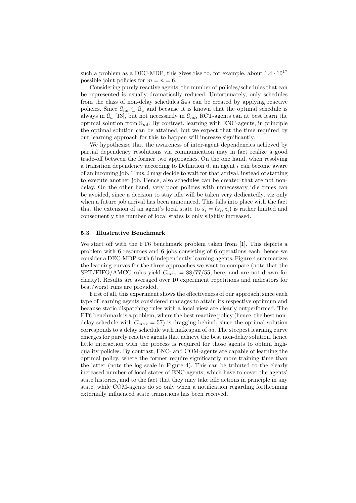such a problem as a DEC-MDP, this gives rise to, for example, about  $1.4 \cdot 10^{17}$ possible joint policies for  $m = n = 6$ .

Considering purely reactive agents, the number of policies/schedules that can be represented is usually dramatically reduced. Unfortunately, only schedules from the class of non-delay schedules  $\mathbb{S}_{nd}$  can be created by applying reactive policies. Since  $\mathbb{S}_{nd} \subseteq \mathbb{S}_a$  and because it is known that the optimal schedule is always in  $\mathbb{S}_a$  [13], but not necessarily in  $\mathbb{S}_{nd}$ , RCT-agents can at best learn the optimal solution from  $\mathbb{S}_{nd}$ . By contrast, learning with ENC-agents, in principle the optimal solution can be attained, but we expect that the time required by our learning approach for this to happen will increase significantly.

We hypothesize that the awareness of inter-agent dependencies achieved by partial dependency resolutions via communication may in fact realize a good trade-off between the former two approaches. On the one hand, when resolving a transition dependency according to Definition  $6$ , an agent  $i$  can become aware of an incoming job. Thus,  $i$  may decide to wait for that arrival, instead of starting to execute another job. Hence, also schedules can be created that are not nondelay. On the other hand, very poor policies with unnecessary idle times can be avoided, since a decision to stay idle will be taken very dedicatedly, viz only when a future job arrival has been announced. This falls into place with the fact that the extension of an agent's local state to  $\hat{s}_i = (s_i, z_i)$  is rather limited and consequently the number of local states is only slightly increased.

#### 5.3 Illustrative Benchmark

We start off with the FT6 benchmark problem taken from [1]. This depicts a problem with 6 resources and 6 jobs consisting of 6 operations each, hence we consider a DEC-MDP with 6 independently learning agents. Figure 4 summarizes the learning curves for the three approaches we want to compare (note that the  $SPT/FIFO/AMCC$  rules yield  $C_{max} = 88/77/55$ , here, and are not drawn for clarity). Results are averaged over 10 experiment repetitions and indicators for best/worst runs are provided.

First of all, this experiment shows the effectiveness of our approach, since each type of learning agents considered manages to attain its respective optimum and because static dispatching rules with a local view are clearly outperformed. The FT6 benchmark is a problem, where the best reactive policy (hence, the best nondelay schedule with  $C_{max} = 57$  is dragging behind, since the optimal solution corresponds to a delay schedule with makespan of 55. The steepest learning curve emerges for purely reactive agents that achieve the best non-delay solution, hence little interaction with the process is required for those agents to obtain highquality policies. By contrast, ENC- and COM-agents are capable of learning the optimal policy, where the former require significantly more training time than the latter (note the log scale in Figure 4). This can be tributed to the clearly increased number of local states of ENC-agents, which have to cover the agents' state histories, and to the fact that they may take idle actions in principle in any state, while COM-agents do so only when a notification regarding forthcoming externally influenced state transitions has been received.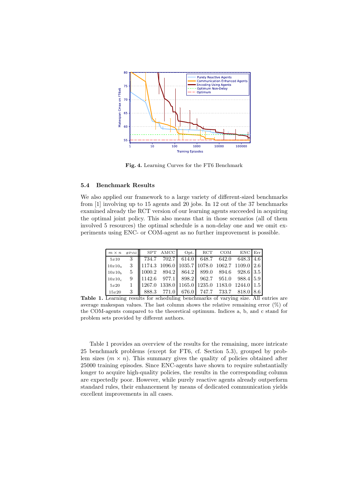

Fig. 4. Learning Curves for the FT6 Benchmark

#### 5.4 Benchmark Results

We also applied our framework to a large variety of different-sized benchmarks from [1] involving up to 15 agents and 20 jobs. In 12 out of the 37 benchmarks examined already the RCT version of our learning agents succeeded in acquiring the optimal joint policy. This also means that in those scenarios (all of them involved 5 resources) the optimal schedule is a non-delay one and we omit experiments using ENC- or COM-agent as no further improvement is possible.

|                    |   | $m \times n$ #Prbl SPT AMCC Opt. RCT COM ENCET            |                                         |  |  |  |
|--------------------|---|-----------------------------------------------------------|-----------------------------------------|--|--|--|
| 5x10               |   | $3$   734.7 702.7 614.0 648.7 642.0 648.3 4.6             |                                         |  |  |  |
| $10x10_a$          |   | 3   1174.3 1096.0   1035.7   1078.0 1062.7 1109.0   2.6   |                                         |  |  |  |
| 10x10 <sub>b</sub> |   |                                                           |                                         |  |  |  |
| $10x10_c$          |   | 9   1142.6   977.1   898.2   962.7   951.0   988.4   5.9  |                                         |  |  |  |
| 5x20               |   | $\parallel$ 1267.0 1338.0 1165.0 1235.0 1183.0 1244.0 1.5 |                                         |  |  |  |
| 15x20              | 3 |                                                           | 888.3 771.0 676.0 747.7 733.7 818.0 8.6 |  |  |  |

Table 1. Learning results for scheduling benchmarks of varying size. All entries are average makespan values. The last column shows the relative remaining error  $(\%)$  of the COM-agents compared to the theoretical optimum. Indices a, b, and c stand for problem sets provided by different authors.

Table 1 provides an overview of the results for the remaining, more intricate 25 benchmark problems (except for FT6, cf. Section 5.3), grouped by problem sizes  $(m \times n)$ . This summary gives the quality of policies obtained after 25000 training episodes. Since ENC-agents have shown to require substantially longer to acquire high-quality policies, the results in the corresponding column are expectedly poor. However, while purely reactive agents already outperform standard rules, their enhancement by means of dedicated communication yields excellent improvements in all cases.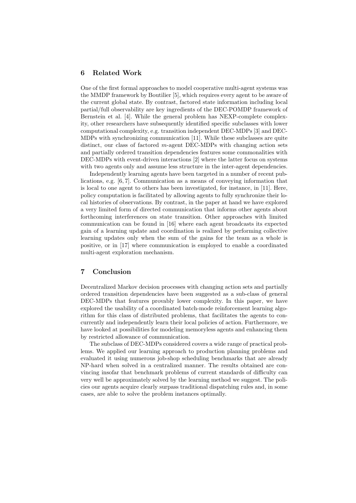# 6 Related Work

One of the first formal approaches to model cooperative multi-agent systems was the MMDP framework by Boutilier [5], which requires every agent to be aware of the current global state. By contrast, factored state information including local partial/full observability are key ingredients of the DEC-POMDP framework of Bernstein et al. [4]. While the general problem has NEXP-complete complexity, other researchers have subsequently identified specific subclasses with lower computational complexity, e.g. transition independent DEC-MDPs [3] and DEC-MDPs with synchronizing communication [11]. While these subclasses are quite distinct, our class of factored  $m$ -agent DEC-MDPs with changing action sets and partially ordered transition dependencies features some commonalities with DEC-MDPs with event-driven interactions [2] where the latter focus on systems with two agents only and assume less structure in the inter-agent dependencies.

Independently learning agents have been targeted in a number of recent publications, e.g. [6, 7]. Communication as a means of conveying information that is local to one agent to others has been investigated, for instance, in [11]. Here, policy computation is facilitated by allowing agents to fully synchronize their local histories of observations. By contrast, in the paper at hand we have explored a very limited form of directed communication that informs other agents about forthcoming interferences on state transition. Other approaches with limited communication can be found in [16] where each agent broadcasts its expected gain of a learning update and coordination is realized by performing collective learning updates only when the sum of the gains for the team as a whole is positive, or in [17] where communication is employed to enable a coordinated multi-agent exploration mechanism.

# 7 Conclusion

Decentralized Markov decision processes with changing action sets and partially ordered transition dependencies have been suggested as a sub-class of general DEC-MDPs that features provably lower complexity. In this paper, we have explored the usability of a coordinated batch-mode reinforcement learning algorithm for this class of distributed problems, that facilitates the agents to concurrently and independently learn their local policies of action. Furthermore, we have looked at possibilities for modeling memoryless agents and enhancing them by restricted allowance of communication.

The subclass of DEC-MDPs considered covers a wide range of practical problems. We applied our learning approach to production planning problems and evaluated it using numerous job-shop scheduling benchmarks that are already NP-hard when solved in a centralized manner. The results obtained are convincing insofar that benchmark problems of current standards of difficulty can very well be approximately solved by the learning method we suggest. The policies our agents acquire clearly surpass traditional dispatching rules and, in some cases, are able to solve the problem instances optimally.